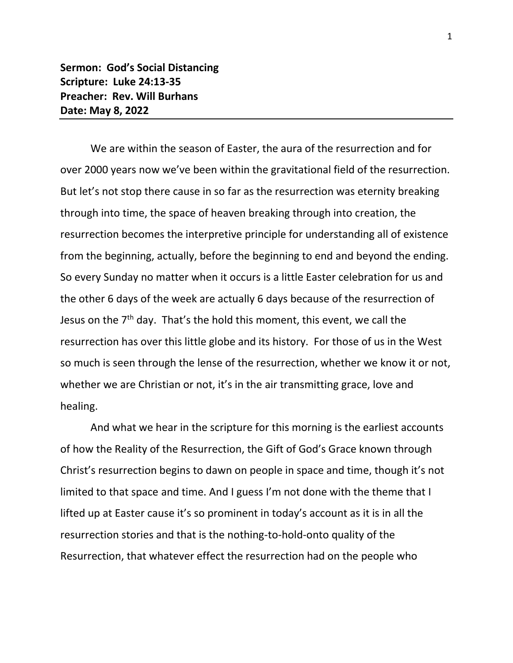**Sermon: God's Social Distancing Scripture: Luke 24:13-35 Preacher: Rev. Will Burhans Date: May 8, 2022**

We are within the season of Easter, the aura of the resurrection and for over 2000 years now we've been within the gravitational field of the resurrection. But let's not stop there cause in so far as the resurrection was eternity breaking through into time, the space of heaven breaking through into creation, the resurrection becomes the interpretive principle for understanding all of existence from the beginning, actually, before the beginning to end and beyond the ending. So every Sunday no matter when it occurs is a little Easter celebration for us and the other 6 days of the week are actually 6 days because of the resurrection of Jesus on the  $7<sup>th</sup>$  day. That's the hold this moment, this event, we call the resurrection has over this little globe and its history. For those of us in the West so much is seen through the lense of the resurrection, whether we know it or not, whether we are Christian or not, it's in the air transmitting grace, love and healing.

And what we hear in the scripture for this morning is the earliest accounts of how the Reality of the Resurrection, the Gift of God's Grace known through Christ's resurrection begins to dawn on people in space and time, though it's not limited to that space and time. And I guess I'm not done with the theme that I lifted up at Easter cause it's so prominent in today's account as it is in all the resurrection stories and that is the nothing-to-hold-onto quality of the Resurrection, that whatever effect the resurrection had on the people who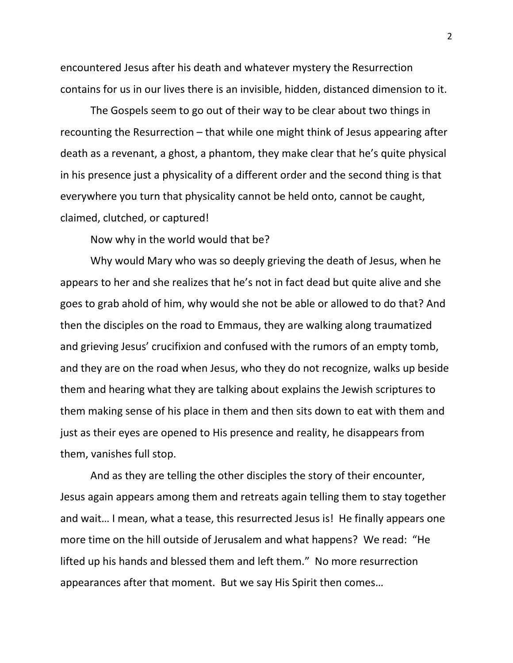encountered Jesus after his death and whatever mystery the Resurrection contains for us in our lives there is an invisible, hidden, distanced dimension to it.

The Gospels seem to go out of their way to be clear about two things in recounting the Resurrection – that while one might think of Jesus appearing after death as a revenant, a ghost, a phantom, they make clear that he's quite physical in his presence just a physicality of a different order and the second thing is that everywhere you turn that physicality cannot be held onto, cannot be caught, claimed, clutched, or captured!

Now why in the world would that be?

Why would Mary who was so deeply grieving the death of Jesus, when he appears to her and she realizes that he's not in fact dead but quite alive and she goes to grab ahold of him, why would she not be able or allowed to do that? And then the disciples on the road to Emmaus, they are walking along traumatized and grieving Jesus' crucifixion and confused with the rumors of an empty tomb, and they are on the road when Jesus, who they do not recognize, walks up beside them and hearing what they are talking about explains the Jewish scriptures to them making sense of his place in them and then sits down to eat with them and just as their eyes are opened to His presence and reality, he disappears from them, vanishes full stop.

And as they are telling the other disciples the story of their encounter, Jesus again appears among them and retreats again telling them to stay together and wait… I mean, what a tease, this resurrected Jesus is! He finally appears one more time on the hill outside of Jerusalem and what happens? We read: "He lifted up his hands and blessed them and left them." No more resurrection appearances after that moment. But we say His Spirit then comes…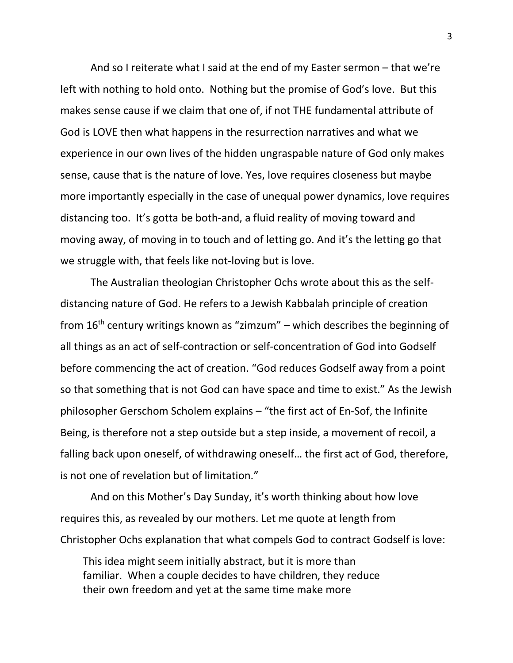And so I reiterate what I said at the end of my Easter sermon – that we're left with nothing to hold onto. Nothing but the promise of God's love. But this makes sense cause if we claim that one of, if not THE fundamental attribute of God is LOVE then what happens in the resurrection narratives and what we experience in our own lives of the hidden ungraspable nature of God only makes sense, cause that is the nature of love. Yes, love requires closeness but maybe more importantly especially in the case of unequal power dynamics, love requires distancing too. It's gotta be both-and, a fluid reality of moving toward and moving away, of moving in to touch and of letting go. And it's the letting go that we struggle with, that feels like not-loving but is love.

The Australian theologian Christopher Ochs wrote about this as the selfdistancing nature of God. He refers to a Jewish Kabbalah principle of creation from  $16<sup>th</sup>$  century writings known as "zimzum" – which describes the beginning of all things as an act of self-contraction or self-concentration of God into Godself before commencing the act of creation. "God reduces Godself away from a point so that something that is not God can have space and time to exist." As the Jewish philosopher Gerschom Scholem explains – "the first act of En-Sof, the Infinite Being, is therefore not a step outside but a step inside, a movement of recoil, a falling back upon oneself, of withdrawing oneself… the first act of God, therefore, is not one of revelation but of limitation."

And on this Mother's Day Sunday, it's worth thinking about how love requires this, as revealed by our mothers. Let me quote at length from Christopher Ochs explanation that what compels God to contract Godself is love:

This idea might seem initially abstract, but it is more than familiar. When a couple decides to have children, they reduce their own freedom and yet at the same time make more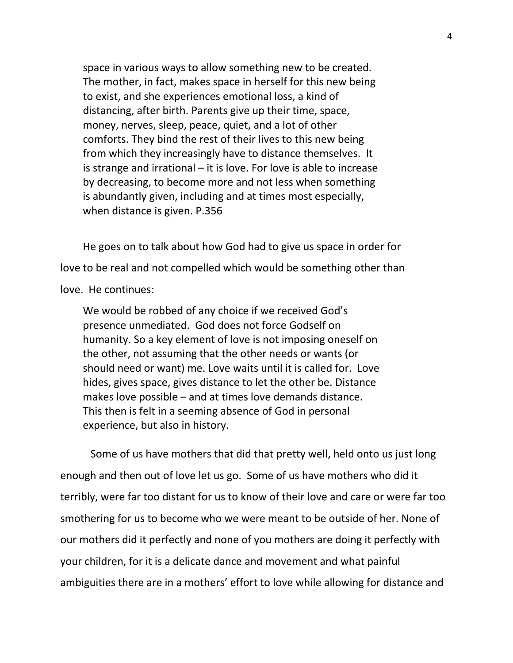space in various ways to allow something new to be created. The mother, in fact, makes space in herself for this new being to exist, and she experiences emotional loss, a kind of distancing, after birth. Parents give up their time, space, money, nerves, sleep, peace, quiet, and a lot of other comforts. They bind the rest of their lives to this new being from which they increasingly have to distance themselves. It is strange and irrational – it is love. For love is able to increase by decreasing, to become more and not less when something is abundantly given, including and at times most especially, when distance is given. P.356

He goes on to talk about how God had to give us space in order for love to be real and not compelled which would be something other than love. He continues:

We would be robbed of any choice if we received God's presence unmediated. God does not force Godself on humanity. So a key element of love is not imposing oneself on the other, not assuming that the other needs or wants (or should need or want) me. Love waits until it is called for. Love hides, gives space, gives distance to let the other be. Distance makes love possible – and at times love demands distance. This then is felt in a seeming absence of God in personal experience, but also in history.

Some of us have mothers that did that pretty well, held onto us just long enough and then out of love let us go. Some of us have mothers who did it terribly, were far too distant for us to know of their love and care or were far too smothering for us to become who we were meant to be outside of her. None of our mothers did it perfectly and none of you mothers are doing it perfectly with your children, for it is a delicate dance and movement and what painful ambiguities there are in a mothers' effort to love while allowing for distance and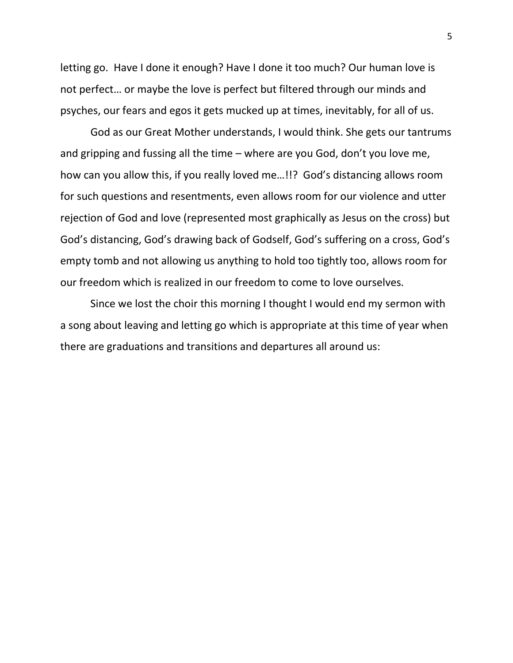letting go. Have I done it enough? Have I done it too much? Our human love is not perfect… or maybe the love is perfect but filtered through our minds and psyches, our fears and egos it gets mucked up at times, inevitably, for all of us.

God as our Great Mother understands, I would think. She gets our tantrums and gripping and fussing all the time – where are you God, don't you love me, how can you allow this, if you really loved me…!!? God's distancing allows room for such questions and resentments, even allows room for our violence and utter rejection of God and love (represented most graphically as Jesus on the cross) but God's distancing, God's drawing back of Godself, God's suffering on a cross, God's empty tomb and not allowing us anything to hold too tightly too, allows room for our freedom which is realized in our freedom to come to love ourselves.

Since we lost the choir this morning I thought I would end my sermon with a song about leaving and letting go which is appropriate at this time of year when there are graduations and transitions and departures all around us: